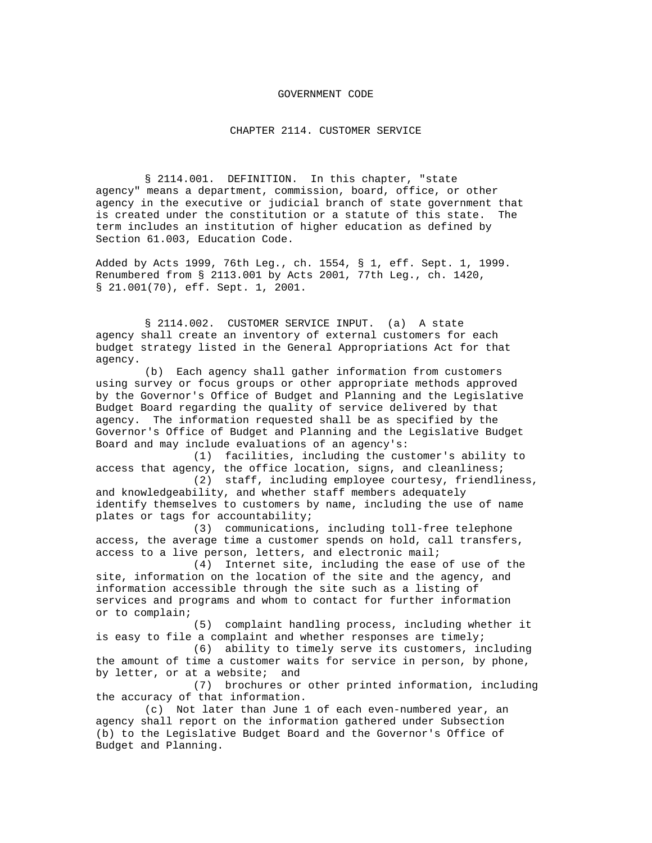## GOVERNMENT CODE

CHAPTER 2114. CUSTOMER SERVICE

§ 2114.001. DEFINITION. In this chapter, "state agency" means a department, commission, board, office, or other agency in the executive or judicial branch of state government that is created under the constitution or a statute of this state. The term includes an institution of higher education as defined by Section 61.003, Education Code.

Added by Acts 1999, 76th Leg., ch. 1554, § 1, eff. Sept. 1, 1999. Renumbered from § 2113.001 by Acts 2001, 77th Leg., ch. 1420, § 21.001(70), eff. Sept. 1, 2001.

§ 2114.002. CUSTOMER SERVICE INPUT. (a) A state agency shall create an inventory of external customers for each budget strategy listed in the General Appropriations Act for that agency.

(b) Each agency shall gather information from customers using survey or focus groups or other appropriate methods approved by the Governor's Office of Budget and Planning and the Legislative Budget Board regarding the quality of service delivered by that agency. The information requested shall be as specified by the Governor's Office of Budget and Planning and the Legislative Budget Board and may include evaluations of an agency's:

(1) facilities, including the customer's ability to access that agency, the office location, signs, and cleanliness;

(2) staff, including employee courtesy, friendliness, and knowledgeability, and whether staff members adequately identify themselves to customers by name, including the use of name plates or tags for accountability;

(3) communications, including toll-free telephone access, the average time a customer spends on hold, call transfers, access to a live person, letters, and electronic mail;

(4) Internet site, including the ease of use of the site, information on the location of the site and the agency, and information accessible through the site such as a listing of services and programs and whom to contact for further information or to complain;

(5) complaint handling process, including whether it is easy to file a complaint and whether responses are timely;

(6) ability to timely serve its customers, including the amount of time a customer waits for service in person, by phone, by letter, or at a website; and

(7) brochures or other printed information, including the accuracy of that information.

(c) Not later than June 1 of each even-numbered year, an agency shall report on the information gathered under Subsection (b) to the Legislative Budget Board and the Governor's Office of Budget and Planning.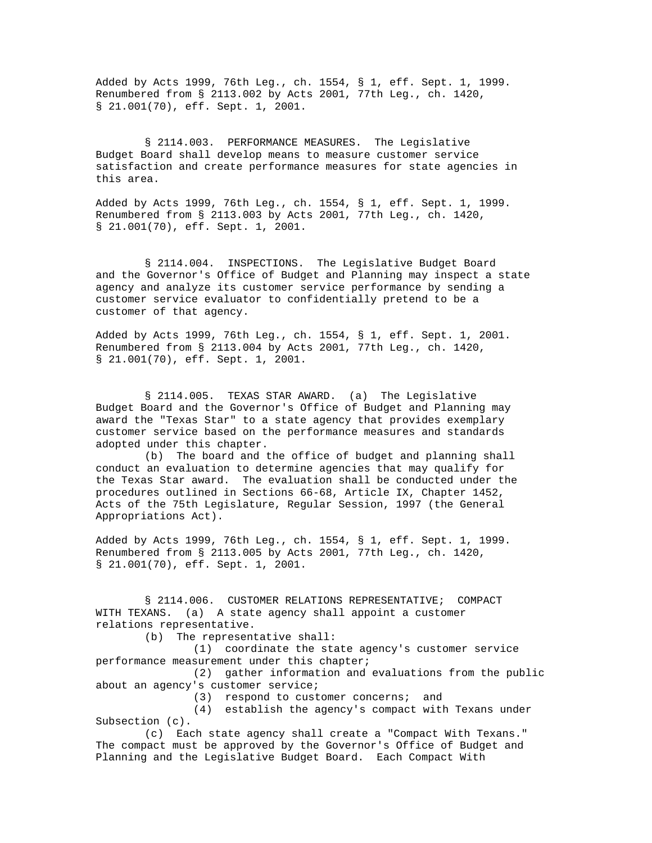Added by Acts 1999, 76th Leg., ch. 1554, § 1, eff. Sept. 1, 1999. Renumbered from § 2113.002 by Acts 2001, 77th Leg., ch. 1420, § 21.001(70), eff. Sept. 1, 2001.

§ 2114.003. PERFORMANCE MEASURES. The Legislative Budget Board shall develop means to measure customer service satisfaction and create performance measures for state agencies in this area.

Added by Acts 1999, 76th Leg., ch. 1554, § 1, eff. Sept. 1, 1999. Renumbered from § 2113.003 by Acts 2001, 77th Leg., ch. 1420, § 21.001(70), eff. Sept. 1, 2001.

§ 2114.004. INSPECTIONS. The Legislative Budget Board and the Governor's Office of Budget and Planning may inspect a state agency and analyze its customer service performance by sending a customer service evaluator to confidentially pretend to be a customer of that agency.

Added by Acts 1999, 76th Leg., ch. 1554, § 1, eff. Sept. 1, 2001. Renumbered from § 2113.004 by Acts 2001, 77th Leg., ch. 1420, § 21.001(70), eff. Sept. 1, 2001.

§ 2114.005. TEXAS STAR AWARD. (a) The Legislative Budget Board and the Governor's Office of Budget and Planning may award the "Texas Star" to a state agency that provides exemplary customer service based on the performance measures and standards adopted under this chapter.

(b) The board and the office of budget and planning shall conduct an evaluation to determine agencies that may qualify for the Texas Star award. The evaluation shall be conducted under the procedures outlined in Sections 66-68, Article IX, Chapter 1452, Acts of the 75th Legislature, Regular Session, 1997 (the General Appropriations Act).

Added by Acts 1999, 76th Leg., ch. 1554, § 1, eff. Sept. 1, 1999. Renumbered from § 2113.005 by Acts 2001, 77th Leg., ch. 1420, § 21.001(70), eff. Sept. 1, 2001.

§ 2114.006. CUSTOMER RELATIONS REPRESENTATIVE; COMPACT WITH TEXANS. (a) A state agency shall appoint a customer relations representative.

(b) The representative shall:

(1) coordinate the state agency's customer service performance measurement under this chapter;

(2) gather information and evaluations from the public about an agency's customer service;

(3) respond to customer concerns; and

(4) establish the agency's compact with Texans under Subsection (c).

(c) Each state agency shall create a "Compact With Texans." The compact must be approved by the Governor's Office of Budget and Planning and the Legislative Budget Board. Each Compact With